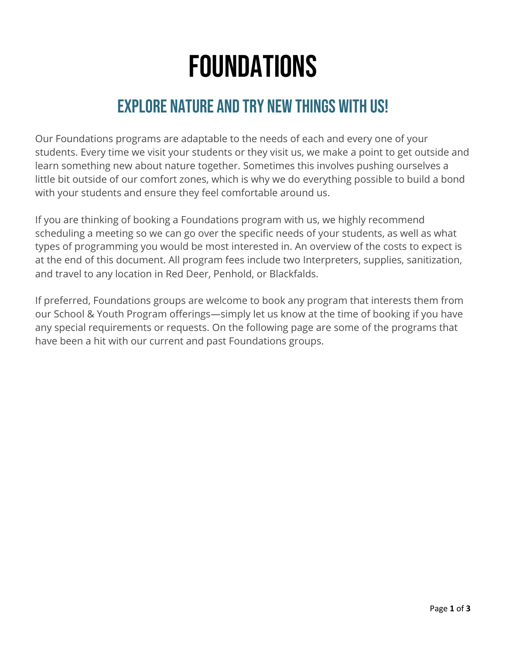# Foundations

## Explore Nature and try new things with us!

Our Foundations programs are adaptable to the needs of each and every one of your students. Every time we visit your students or they visit us, we make a point to get outside and learn something new about nature together. Sometimes this involves pushing ourselves a little bit outside of our comfort zones, which is why we do everything possible to build a bond with your students and ensure they feel comfortable around us.

If you are thinking of booking a Foundations program with us, we highly recommend scheduling a meeting so we can go over the specific needs of your students, as well as what types of programming you would be most interested in. An overview of the costs to expect is at the end of this document. All program fees include two Interpreters, supplies, sanitization, and travel to any location in Red Deer, Penhold, or Blackfalds.

If preferred, Foundations groups are welcome to book any program that interests them from our School & Youth Program offerings—simply let us know at the time of booking if you have any special requirements or requests. On the following page are some of the programs that have been a hit with our current and past Foundations groups.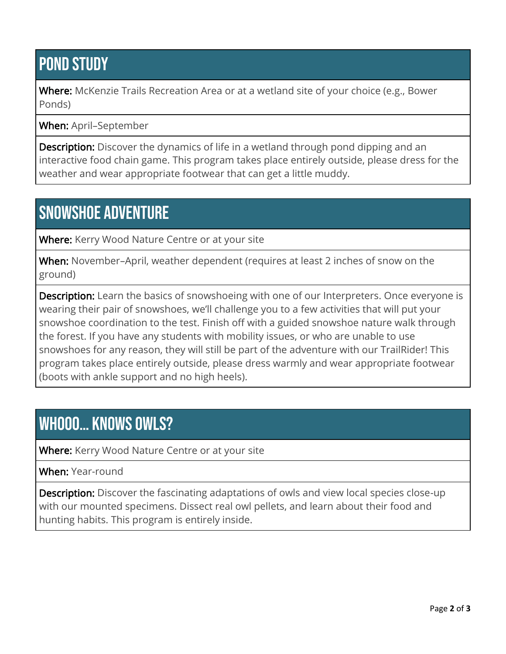## POND STUDY

Where: McKenzie Trails Recreation Area or at a wetland site of your choice (e.g., Bower Ponds)

When: April–September

**Description:** Discover the dynamics of life in a wetland through pond dipping and an interactive food chain game. This program takes place entirely outside, please dress for the weather and wear appropriate footwear that can get a little muddy.

#### snowshoe adventure

**Where:** Kerry Wood Nature Centre or at your site

When: November-April, weather dependent (requires at least 2 inches of snow on the ground)

**Description:** Learn the basics of snowshoeing with one of our Interpreters. Once everyone is wearing their pair of snowshoes, we'll challenge you to a few activities that will put your snowshoe coordination to the test. Finish off with a guided snowshoe nature walk through the forest. If you have any students with mobility issues, or who are unable to use snowshoes for any reason, they will still be part of the adventure with our TrailRider! This program takes place entirely outside, please dress warmly and wear appropriate footwear (boots with ankle support and no high heels).

### WHOOO... KNOWS OWLS?

Where: Kerry Wood Nature Centre or at your site

When: Year-round

**Description:** Discover the fascinating adaptations of owls and view local species close-up with our mounted specimens. Dissect real owl pellets, and learn about their food and hunting habits. This program is entirely inside.